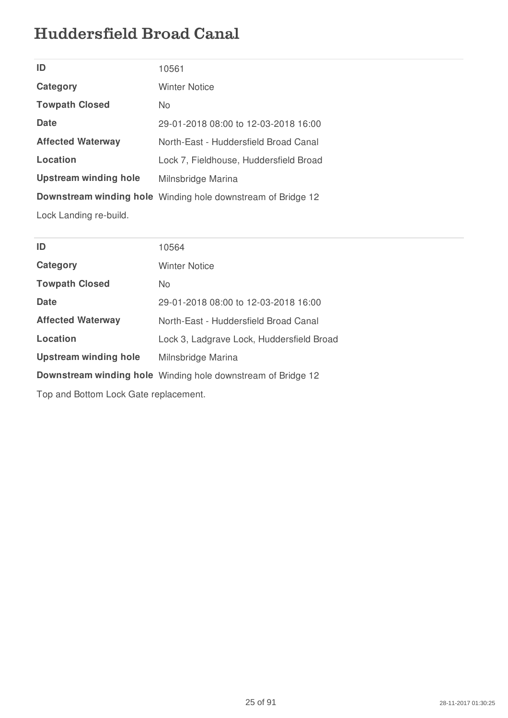## Huddersfield Broad Canal

| ID                       | 10561                                                        |
|--------------------------|--------------------------------------------------------------|
| Category                 | Winter Notice                                                |
| <b>Towpath Closed</b>    | No.                                                          |
| Date                     | 29-01-2018 08:00 to 12-03-2018 16:00                         |
| <b>Affected Waterway</b> | North-East - Huddersfield Broad Canal                        |
| Location                 | Lock 7, Fieldhouse, Huddersfield Broad                       |
| Upstream winding hole    | Milnsbridge Marina                                           |
|                          | Downstream winding hole Winding hole downstream of Bridge 12 |
| Lock Landing re-build.   |                                                              |

| ID                           | 10564                                                        |
|------------------------------|--------------------------------------------------------------|
| Category                     | <b>Winter Notice</b>                                         |
| <b>Towpath Closed</b>        | No.                                                          |
| Date                         | 29-01-2018 08:00 to 12-03-2018 16:00                         |
| <b>Affected Waterway</b>     | North-East - Huddersfield Broad Canal                        |
| Location                     | Lock 3, Ladgrave Lock, Huddersfield Broad                    |
| <b>Upstream winding hole</b> | Milnsbridge Marina                                           |
|                              | Downstream winding hole Winding hole downstream of Bridge 12 |
|                              |                                                              |

Top and Bottom Lock Gate replacement.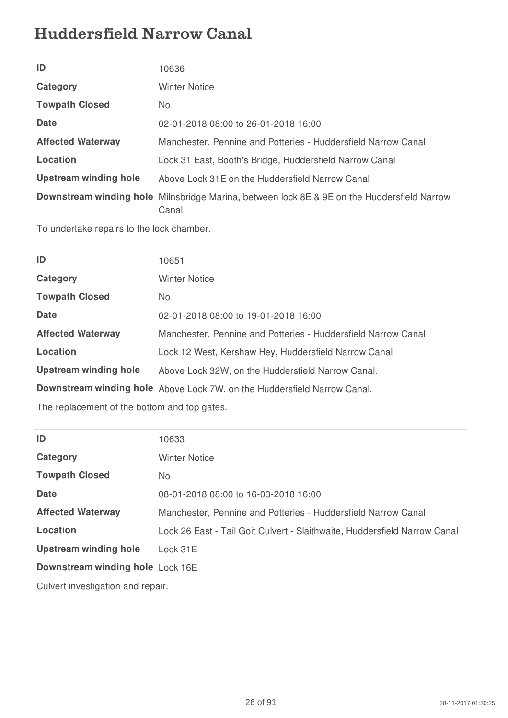## Huddersfield Narrow Canal

| ID                           | 10636                                                                                                |
|------------------------------|------------------------------------------------------------------------------------------------------|
| Category                     | <b>Winter Notice</b>                                                                                 |
| <b>Towpath Closed</b>        | No.                                                                                                  |
| <b>Date</b>                  | 02-01-2018 08:00 to 26-01-2018 16:00                                                                 |
| <b>Affected Waterway</b>     | Manchester, Pennine and Potteries - Huddersfield Narrow Canal                                        |
| Location                     | Lock 31 East, Booth's Bridge, Huddersfield Narrow Canal                                              |
| <b>Upstream winding hole</b> | Above Lock 31E on the Huddersfield Narrow Canal                                                      |
|                              | Downstream winding hole Milnsbridge Marina, between lock 8E & 9E on the Huddersfield Narrow<br>Canal |

To undertake repairs to the lock chamber.

| ID                           | 10651                                                                    |
|------------------------------|--------------------------------------------------------------------------|
| Category                     | <b>Winter Notice</b>                                                     |
| <b>Towpath Closed</b>        | No.                                                                      |
| Date                         | 02-01-2018 08:00 to 19-01-2018 16:00                                     |
| <b>Affected Waterway</b>     | Manchester, Pennine and Potteries - Huddersfield Narrow Canal            |
| Location                     | Lock 12 West, Kershaw Hey, Huddersfield Narrow Canal                     |
| <b>Upstream winding hole</b> | Above Lock 32W, on the Huddersfield Narrow Canal.                        |
|                              | Downstream winding hole Above Lock 7W, on the Huddersfield Narrow Canal. |
|                              |                                                                          |

The replacement of the bottom and top gates.

| ID                                | 10633                                                                     |
|-----------------------------------|---------------------------------------------------------------------------|
| Category                          | <b>Winter Notice</b>                                                      |
| <b>Towpath Closed</b>             | No.                                                                       |
| <b>Date</b>                       | 08-01-2018 08:00 to 16-03-2018 16:00                                      |
| <b>Affected Waterway</b>          | Manchester, Pennine and Potteries - Huddersfield Narrow Canal             |
| Location                          | Lock 26 East - Tail Goit Culvert - Slaithwaite, Huddersfield Narrow Canal |
| <b>Upstream winding hole</b>      | Lock 31E                                                                  |
| Downstream winding hole Lock 16E  |                                                                           |
| Culvert investigation and repair. |                                                                           |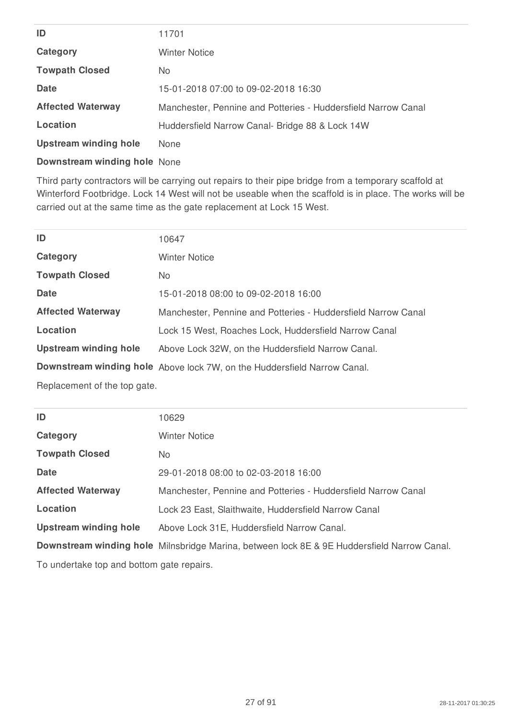| ID                       | 11701                                                         |
|--------------------------|---------------------------------------------------------------|
| Category                 | <b>Winter Notice</b>                                          |
| <b>Towpath Closed</b>    | No.                                                           |
| <b>Date</b>              | 15-01-2018 07:00 to 09-02-2018 16:30                          |
| <b>Affected Waterway</b> | Manchester, Pennine and Potteries - Huddersfield Narrow Canal |
| Location                 | Huddersfield Narrow Canal- Bridge 88 & Lock 14W               |
| Upstream winding hole    | <b>None</b>                                                   |
|                          |                                                               |

**Downstream winding hole** None

Third party contractors will be carrying out repairs to their pipe bridge from a temporary scaffold at Winterford Footbridge. Lock 14 West will not be useable when the scaffold is in place. The works will be carried out at the same time as the gate replacement at Lock 15 West.

| ID                           | 10647                                                                    |
|------------------------------|--------------------------------------------------------------------------|
| Category                     | <b>Winter Notice</b>                                                     |
| <b>Towpath Closed</b>        | No.                                                                      |
| Date                         | 15-01-2018 08:00 to 09-02-2018 16:00                                     |
| <b>Affected Waterway</b>     | Manchester, Pennine and Potteries - Huddersfield Narrow Canal            |
| Location                     | Lock 15 West, Roaches Lock, Huddersfield Narrow Canal                    |
| <b>Upstream winding hole</b> | Above Lock 32W, on the Huddersfield Narrow Canal.                        |
|                              | Downstream winding hole Above lock 7W, on the Huddersfield Narrow Canal. |
| Replacement of the top gate. |                                                                          |

| ID                                        | 10629                                                                                       |
|-------------------------------------------|---------------------------------------------------------------------------------------------|
| Category                                  | <b>Winter Notice</b>                                                                        |
| <b>Towpath Closed</b>                     | No.                                                                                         |
| <b>Date</b>                               | 29-01-2018 08:00 to 02-03-2018 16:00                                                        |
| <b>Affected Waterway</b>                  | Manchester, Pennine and Potteries - Huddersfield Narrow Canal                               |
| Location                                  | Lock 23 East, Slaithwaite, Huddersfield Narrow Canal                                        |
| <b>Upstream winding hole</b>              | Above Lock 31E, Huddersfield Narrow Canal.                                                  |
|                                           | Downstream winding hole Milnsbridge Marina, between lock 8E & 9E Huddersfield Narrow Canal. |
| To undertake top and bottom gate repairs. |                                                                                             |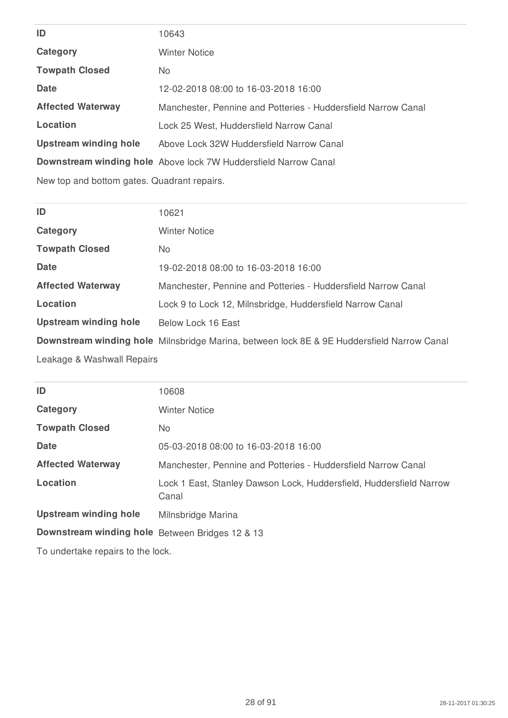| ID                           | 10643                                                           |
|------------------------------|-----------------------------------------------------------------|
| Category                     | Winter Notice                                                   |
| <b>Towpath Closed</b>        | No.                                                             |
| Date                         | 12-02-2018 08:00 to 16-03-2018 16:00                            |
| <b>Affected Waterway</b>     | Manchester, Pennine and Potteries - Huddersfield Narrow Canal   |
| Location                     | Lock 25 West, Huddersfield Narrow Canal                         |
| <b>Upstream winding hole</b> | Above Lock 32W Huddersfield Narrow Canal                        |
|                              | Downstream winding hole Above lock 7W Huddersfield Narrow Canal |
|                              |                                                                 |

New top and bottom gates. Quadrant repairs.

| ID                           | 10621                                                                                      |
|------------------------------|--------------------------------------------------------------------------------------------|
| Category                     | <b>Winter Notice</b>                                                                       |
| <b>Towpath Closed</b>        | No.                                                                                        |
| Date                         | 19-02-2018 08:00 to 16-03-2018 16:00                                                       |
| <b>Affected Waterway</b>     | Manchester, Pennine and Potteries - Huddersfield Narrow Canal                              |
| Location                     | Lock 9 to Lock 12, Milnsbridge, Huddersfield Narrow Canal                                  |
| <b>Upstream winding hole</b> | Below Lock 16 East                                                                         |
|                              | Downstream winding hole Milnsbridge Marina, between lock 8E & 9E Huddersfield Narrow Canal |
| Leakage & Washwall Repairs   |                                                                                            |

| ID                                              | 10608                                                                        |
|-------------------------------------------------|------------------------------------------------------------------------------|
| Category                                        | <b>Winter Notice</b>                                                         |
| <b>Towpath Closed</b>                           | No.                                                                          |
| Date                                            | 05-03-2018 08:00 to 16-03-2018 16:00                                         |
| <b>Affected Waterway</b>                        | Manchester, Pennine and Potteries - Huddersfield Narrow Canal                |
| Location                                        | Lock 1 East, Stanley Dawson Lock, Huddersfield, Huddersfield Narrow<br>Canal |
| <b>Upstream winding hole</b>                    | Milnsbridge Marina                                                           |
| Downstream winding hole Between Bridges 12 & 13 |                                                                              |
| To undertake repairs to the lock.               |                                                                              |